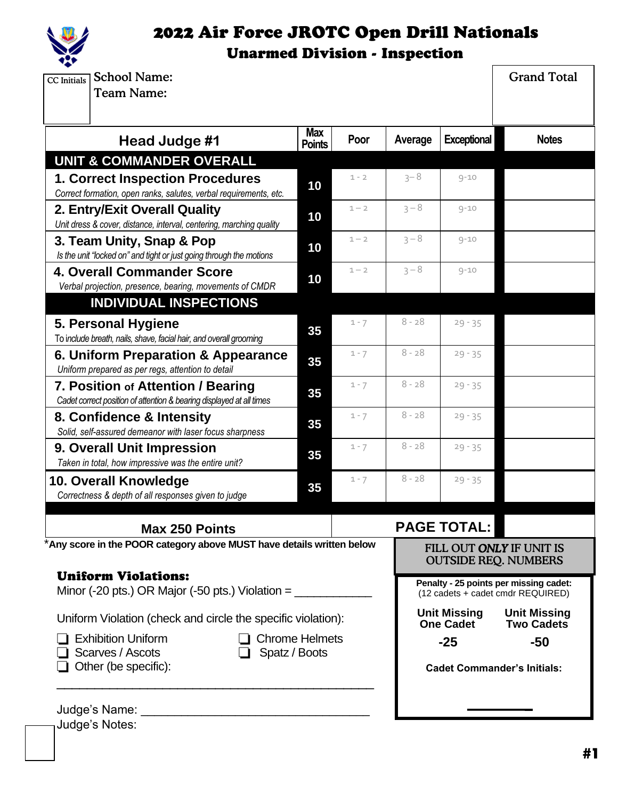

Judge's Notes:

## 2022 Air Force JROTC Open Drill Nationals Unarmed Division - Inspection

Grand Total School Name: Team Name: **Head Judge #1** Max **Points Poor Average Exceptional Notes UNIT & COMMANDER OVERALL 1. Correct Inspection Procedures**  *Correct formation, open ranks, salutes, verbal requirements, etc.* **<sup>10</sup>**  $1 - 2$   $3 - 8$  9-10 **2. Entry/Exit Overall Quality** *Unit dress & cover, distance, interval, centering, marching quality* **<sup>10</sup>**  $1 - 2$   $3 - 8$  9-10 **3. Team Unity, Snap & Pop**  *Is the unit "locked on" and tight or just going through the motions* **<sup>10</sup>**  $1 - 2$   $3 - 8$   $9 - 10$ **4. Overall Commander Score** *Verbal projection, presence, bearing, movements of CMDR* **<sup>10</sup>**  $1 - 2$   $3 - 8$  9-10 **INDIVIDUAL INSPECTIONS 5. Personal Hygiene** To i*nclude breath, nails, shave, facial hair, and overall grooming* **<sup>35</sup>**  $1 - 7$   $8 - 28$   $29 - 35$ **6. Uniform Preparation & Appearance** *Uniform prepared as per regs, attention to detail* **<sup>35</sup>**  $1 - 7$   $8 - 28$   $29 - 35$ **7. Position of Attention / Bearing**  *Cadet correct position of attention & bearing displayed at all times* **<sup>35</sup>**  $1 - 7$   $8 - 28$   $29 - 35$ **8. Confidence & Intensity**  *Solid, self-assured demeanor with laser focus sharpness* **<sup>35</sup>**  $1 - 7$   $8 - 28$   $29 - 35$ **9. Overall Unit Impression** *Taken in total, how impressive was the entire unit?* **<sup>35</sup>**  $1 - 7$   $8 - 28$   $29 - 35$ **10. Overall Knowledge**  *Correctness & depth of all responses given to judge* **<sup>35</sup>**  $1 - 7$   $8 - 28$   $29 - 35$ **Max 250 Points PAGE TOTAL:** \***Any score in the POOR category above MUST have details written below** CC Initials **Penalty - 25 points per missing cadet:** (12 cadets + cadet cmdr REQUIRED) **Unit Missing Unit Missing One Cadet -25 -50 Cadet Commander's Initials:** Uniform Violations: Minor (-20 pts.) OR Major (-50 pts.) Violation  $=$ Uniform Violation (check and circle the specific violation): Exhibition Uniform **Communist Chrome Helmets** Scarves / Ascots **Spatz / Boots**  $\Box$  Other (be specific): \_\_\_\_\_\_\_\_\_\_\_\_\_\_\_\_\_\_\_\_\_\_\_\_\_\_\_\_\_\_\_\_\_\_\_\_\_\_\_\_\_\_ Judge's Name: \_\_\_\_\_\_\_\_\_\_\_\_\_\_\_\_\_\_\_\_\_\_\_\_\_\_\_\_\_\_\_\_\_\_ FILL OUT *ONLY* IF UNIT IS OUTSIDE REQ. NUMBERS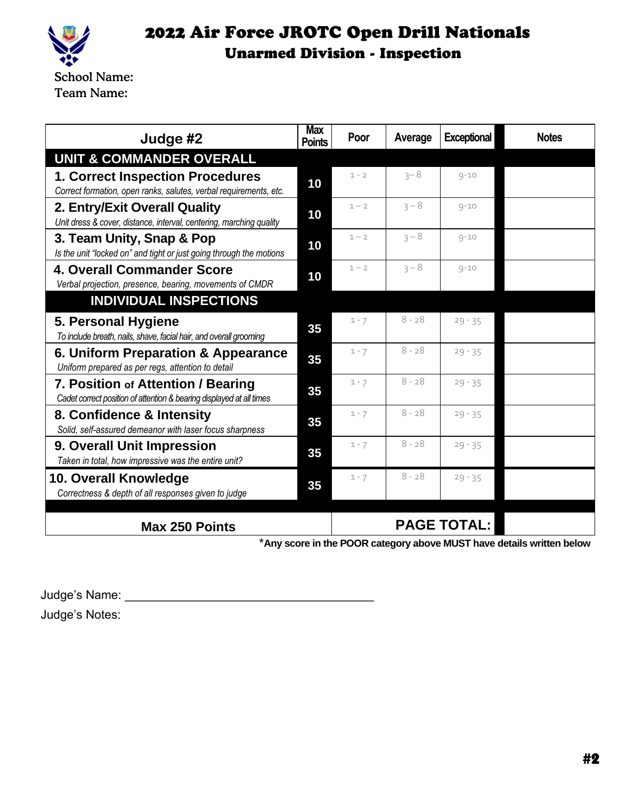

2022 Air Force JROTC Open Drill Nationals Unarmed Division - Inspection

| Judge #2                                                                                                     | <b>Max</b><br><b>Points</b> | Poor                                                                         | Average  | <b>Exceptional</b> | <b>Notes</b> |  |
|--------------------------------------------------------------------------------------------------------------|-----------------------------|------------------------------------------------------------------------------|----------|--------------------|--------------|--|
| <b>UNIT &amp; COMMANDER OVERALL</b>                                                                          |                             |                                                                              |          |                    |              |  |
| <b>1. Correct Inspection Procedures</b><br>Correct formation, open ranks, salutes, verbal requirements, etc. | 10                          | $1 - 2$                                                                      | $3 - 8$  | $9 - 10$           |              |  |
| 2. Entry/Exit Overall Quality<br>Unit dress & cover, distance, interval, centering, marching quality         | 10                          | $1 - 2$                                                                      | $3 - 8$  | $9 - 10$           |              |  |
| 3. Team Unity, Snap & Pop<br>Is the unit "locked on" and tight or just going through the motions             | 10                          | $1 - 2$                                                                      | $3 - 8$  | $9 - 10$           |              |  |
| <b>4. Overall Commander Score</b><br>Verbal projection, presence, bearing, movements of CMDR                 | 10                          | $1 - 2$                                                                      | $3 - 8$  | $9 - 10$           |              |  |
| <b>INDIVIDUAL INSPECTIONS</b>                                                                                |                             |                                                                              |          |                    |              |  |
| 5. Personal Hygiene<br>To include breath, nails, shave, facial hair, and overall grooming                    | 35                          | $1 - 7$                                                                      | $8 - 28$ | $29 - 35$          |              |  |
| 6. Uniform Preparation & Appearance<br>Uniform prepared as per regs, attention to detail                     | 35                          | $1 - 7$                                                                      | $8 - 28$ | $29 - 35$          |              |  |
| 7. Position of Attention / Bearing<br>Cadet correct position of attention & bearing displayed at all times   | 35                          | $1 - 7$                                                                      | $8 - 28$ | $29 - 35$          |              |  |
| 8. Confidence & Intensity<br>Solid, self-assured demeanor with laser focus sharpness                         | 35                          | $1 - 7$                                                                      | $8 - 28$ | $29 - 35$          |              |  |
| 9. Overall Unit Impression<br>Taken in total, how impressive was the entire unit?                            | 35                          | $1 - 7$                                                                      | $8 - 28$ | $29 - 35$          |              |  |
| 10. Overall Knowledge<br>Correctness & depth of all responses given to judge                                 | 35                          | $1 - 7$                                                                      | $8 - 28$ | $29 - 35$          |              |  |
| <b>Max 250 Points</b><br>$*$ A                                                                               |                             | <b>PAGE TOTAL:</b><br>$\sim$ DOOD<br>ista MillOT karra alataila ruulttam kal |          |                    |              |  |

\***Any score in the POOR category above MUST have details written below**

Judge's Name: \_\_\_\_\_\_\_\_\_\_\_\_\_\_\_\_\_\_\_\_\_\_\_\_\_\_\_\_\_\_\_\_\_\_\_\_\_

Judge's Notes: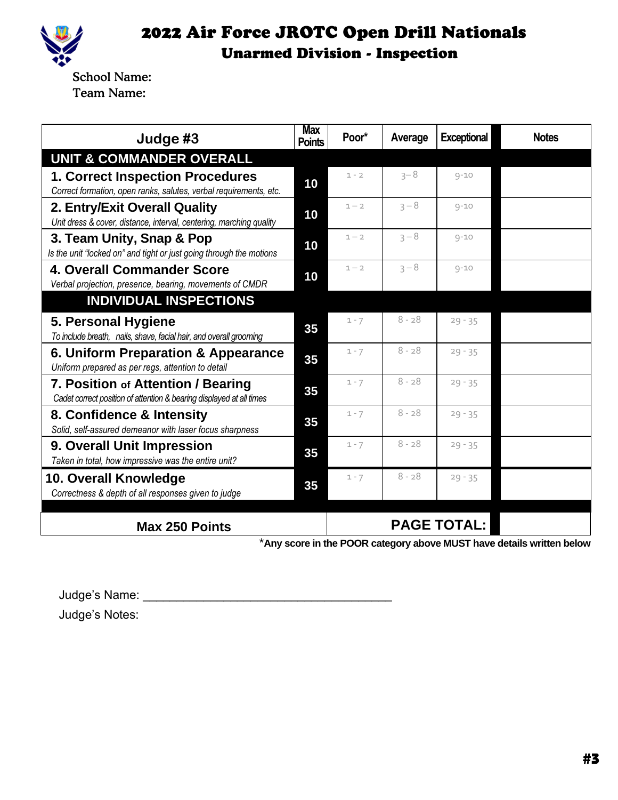

2022 Air Force JROTC Open Drill Nationals Unarmed Division - Inspection

School Name: Team Name:

| Judge #3                                                                                                     | <b>Max</b><br><b>Points</b> | Poor*                                                                                | Average  | <b>Exceptional</b> | <b>Notes</b> |  |
|--------------------------------------------------------------------------------------------------------------|-----------------------------|--------------------------------------------------------------------------------------|----------|--------------------|--------------|--|
| <b>UNIT &amp; COMMANDER OVERALL</b>                                                                          |                             |                                                                                      |          |                    |              |  |
| <b>1. Correct Inspection Procedures</b><br>Correct formation, open ranks, salutes, verbal requirements, etc. | 10                          | $1 - 2$                                                                              | $3 - 8$  | $9 - 10$           |              |  |
| 2. Entry/Exit Overall Quality<br>Unit dress & cover, distance, interval, centering, marching quality         | 10                          | $1 - 2$                                                                              | $3 - 8$  | $9 - 10$           |              |  |
| 3. Team Unity, Snap & Pop<br>Is the unit "locked on" and tight or just going through the motions             | 10                          | $1 - 2$                                                                              | $3 - 8$  | $9 - 10$           |              |  |
| 4. Overall Commander Score<br>Verbal projection, presence, bearing, movements of CMDR                        | 10                          | $1 - 2$                                                                              | $3 - 8$  | $9 - 10$           |              |  |
| <b>INDIVIDUAL INSPECTIONS</b>                                                                                |                             |                                                                                      |          |                    |              |  |
| 5. Personal Hygiene<br>To include breath, nails, shave, facial hair, and overall grooming                    | 35                          | $1 - 7$                                                                              | $8 - 28$ | $29 - 35$          |              |  |
| 6. Uniform Preparation & Appearance<br>Uniform prepared as per regs, attention to detail                     | 35                          | $1 - 7$                                                                              | $8 - 28$ | $29 - 35$          |              |  |
| 7. Position of Attention / Bearing<br>Cadet correct position of attention & bearing displayed at all times   | 35                          | $1 - 7$                                                                              | $8 - 28$ | $29 - 35$          |              |  |
| 8. Confidence & Intensity<br>Solid, self-assured demeanor with laser focus sharpness                         | 35                          | $1 - 7$                                                                              | $8 - 28$ | $29 - 35$          |              |  |
| 9. Overall Unit Impression<br>Taken in total, how impressive was the entire unit?                            | 35                          | $1 - 7$                                                                              | $8 - 28$ | $29 - 35$          |              |  |
| 10. Overall Knowledge<br>Correctness & depth of all responses given to judge                                 | 35                          | $1 - 7$                                                                              | $8 - 28$ | $29 - 35$          |              |  |
| <b>Max 250 Points</b><br>$*$ A                                                                               |                             | <b>PAGE TOTAL:</b><br>والمستنقل والمتمام<br>$L = L - D$<br>$\sim$ $\sim$ MUICT being |          |                    |              |  |

\***Any score in the POOR category above MUST have details written below**

Judge's Name: \_\_\_\_\_\_\_\_\_\_\_\_\_\_\_\_\_\_\_\_\_\_\_\_\_\_\_\_\_\_\_\_\_\_\_\_\_

Judge's Notes: